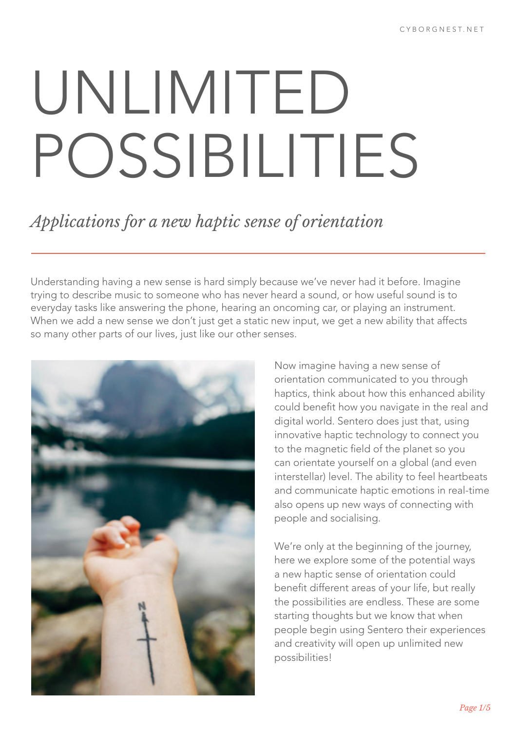# UNLIMITED POSSIBILITIES

## *Applications for a new haptic sense of orientation*

Understanding having a new sense is hard simply because we've never had it before. Imagine trying to describe music to someone who has never heard a sound, or how useful sound is to everyday tasks like answering the phone, hearing an oncoming car, or playing an instrument. When we add a new sense we don't just get a static new input, we get a new ability that affects so many other parts of our lives, just like our other senses.



Now imagine having a new sense of orientation communicated to you through haptics, think about how this enhanced ability could benefit how you navigate in the real and digital world. Sentero does just that, using innovative haptic technology to connect you to the magnetic field of the planet so you can orientate yourself on a global (and even interstellar) level. The ability to feel heartbeats and communicate haptic emotions in real-time also opens up new ways of connecting with people and socialising.

We're only at the beginning of the journey, here we explore some of the potential ways a new haptic sense of orientation could benefit different areas of your life, but really the possibilities are endless. These are some starting thoughts but we know that when people begin using Sentero their experiences and creativity will open up unlimited new possibilities!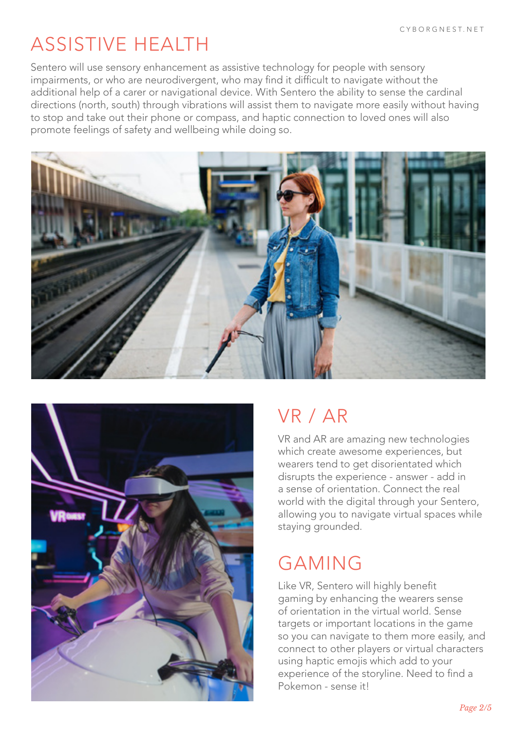# ASSISTIVE HEALTH

Sentero will use sensory enhancement as assistive technology for people with sensory impairments, or who are neurodivergent, who may find it difficult to navigate without the additional help of a carer or navigational device. With Sentero the ability to sense the cardinal directions (north, south) through vibrations will assist them to navigate more easily without having to stop and take out their phone or compass, and haptic connection to loved ones will also promote feelings of safety and wellbeing while doing so.





# VR / AR

VR and AR are amazing new technologies which create awesome experiences, but wearers tend to get disorientated which disrupts the experience - answer - add in a sense of orientation. Connect the real world with the digital through your Sentero, allowing you to navigate virtual spaces while staying grounded.

# GAMING

Like VR, Sentero will highly benefit gaming by enhancing the wearers sense of orientation in the virtual world. Sense targets or important locations in the game so you can navigate to them more easily, and connect to other players or virtual characters using haptic emojis which add to your experience of the storyline. Need to find a Pokemon - sense it!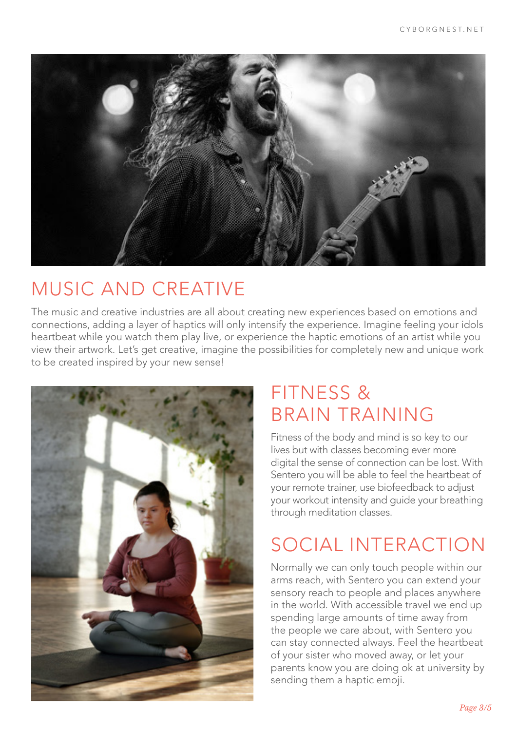

# MUSIC AND CREATIVE

The music and creative industries are all about creating new experiences based on emotions and connections, adding a layer of haptics will only intensify the experience. Imagine feeling your idols heartbeat while you watch them play live, or experience the haptic emotions of an artist while you view their artwork. Let's get creative, imagine the possibilities for completely new and unique work to be created inspired by your new sense!



# FITNESS & BRAIN TRAINING

Fitness of the body and mind is so key to our lives but with classes becoming ever more digital the sense of connection can be lost. With Sentero you will be able to feel the heartbeat of your remote trainer, use biofeedback to adjust your workout intensity and guide your breathing through meditation classes.

# SOCIAL INTERACTION

Normally we can only touch people within our arms reach, with Sentero you can extend your sensory reach to people and places anywhere in the world. With accessible travel we end up spending large amounts of time away from the people we care about, with Sentero you can stay connected always. Feel the heartbeat of your sister who moved away, or let your parents know you are doing ok at university by sending them a haptic emoji.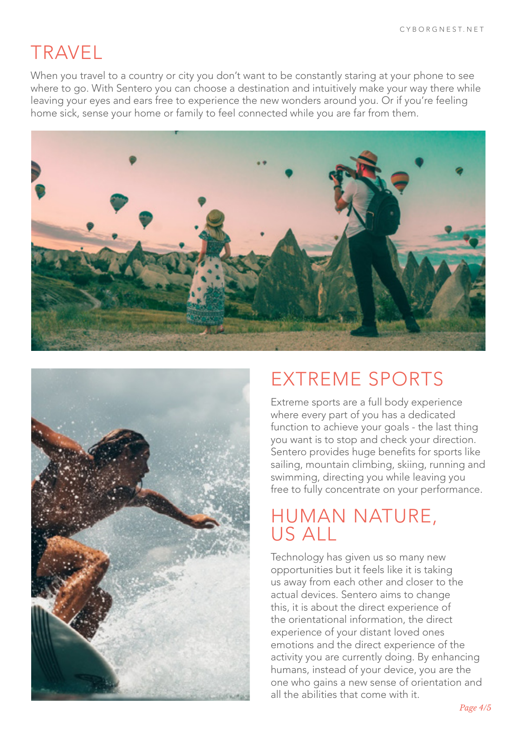## TRAVEL

When you travel to a country or city you don't want to be constantly staring at your phone to see where to go. With Sentero you can choose a destination and intuitively make your way there while leaving your eyes and ears free to experience the new wonders around you. Or if you're feeling home sick, sense your home or family to feel connected while you are far from them.





### EXTREME SPORTS

Extreme sports are a full body experience where every part of you has a dedicated function to achieve your goals - the last thing you want is to stop and check your direction. Sentero provides huge benefits for sports like sailing, mountain climbing, skiing, running and swimming, directing you while leaving you free to fully concentrate on your performance.

#### HUMAN NATURE, US ALL

Technology has given us so many new opportunities but it feels like it is taking us away from each other and closer to the actual devices. Sentero aims to change this, it is about the direct experience of the orientational information, the direct experience of your distant loved ones emotions and the direct experience of the activity you are currently doing. By enhancing humans, instead of your device, you are the one who gains a new sense of orientation and all the abilities that come with it.